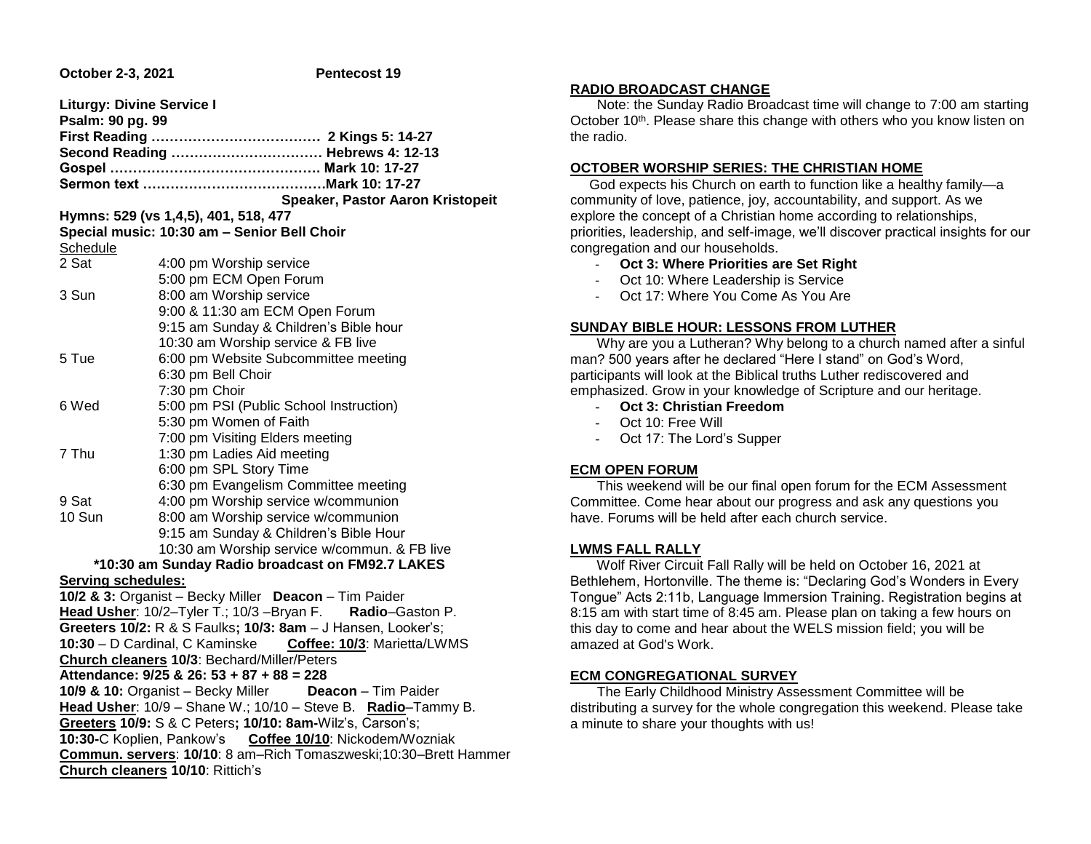**October 2-3, 2021 Pentecost 19** 

| <b>Liturgy: Divine Service I</b>                          |                                                                                                                   |  |  |  |
|-----------------------------------------------------------|-------------------------------------------------------------------------------------------------------------------|--|--|--|
| Psalm: 90 pg. 99                                          |                                                                                                                   |  |  |  |
|                                                           | Second Reading  Hebrews 4: 12-13                                                                                  |  |  |  |
|                                                           |                                                                                                                   |  |  |  |
|                                                           |                                                                                                                   |  |  |  |
|                                                           | Speaker, Pastor Aaron Kristopeit                                                                                  |  |  |  |
|                                                           | Hymns: 529 (vs 1,4,5), 401, 518, 477                                                                              |  |  |  |
|                                                           | Special music: 10:30 am - Senior Bell Choir                                                                       |  |  |  |
| Schedule                                                  |                                                                                                                   |  |  |  |
| 2 Sat                                                     | 4:00 pm Worship service                                                                                           |  |  |  |
|                                                           | 5:00 pm ECM Open Forum                                                                                            |  |  |  |
| 3 Sun                                                     | 8:00 am Worship service                                                                                           |  |  |  |
|                                                           | 9:00 & 11:30 am ECM Open Forum                                                                                    |  |  |  |
|                                                           | 9:15 am Sunday & Children's Bible hour                                                                            |  |  |  |
|                                                           | 10:30 am Worship service & FB live                                                                                |  |  |  |
| 5 Tue                                                     | 6:00 pm Website Subcommittee meeting                                                                              |  |  |  |
|                                                           | 6:30 pm Bell Choir                                                                                                |  |  |  |
|                                                           | 7:30 pm Choir                                                                                                     |  |  |  |
| 6 Wed                                                     | 5:00 pm PSI (Public School Instruction)                                                                           |  |  |  |
|                                                           | 5:30 pm Women of Faith                                                                                            |  |  |  |
|                                                           | 7:00 pm Visiting Elders meeting                                                                                   |  |  |  |
| 7 Thu                                                     | 1:30 pm Ladies Aid meeting                                                                                        |  |  |  |
|                                                           | 6:00 pm SPL Story Time                                                                                            |  |  |  |
|                                                           | 6:30 pm Evangelism Committee meeting                                                                              |  |  |  |
| 9 Sat                                                     | 4:00 pm Worship service w/communion                                                                               |  |  |  |
| 10 Sun                                                    | 8:00 am Worship service w/communion                                                                               |  |  |  |
|                                                           | 9:15 am Sunday & Children's Bible Hour                                                                            |  |  |  |
|                                                           | 10:30 am Worship service w/commun. & FB live                                                                      |  |  |  |
|                                                           | *10:30 am Sunday Radio broadcast on FM92.7 LAKES                                                                  |  |  |  |
| Serving schedules:                                        |                                                                                                                   |  |  |  |
|                                                           | 10/2 & 3: Organist - Becky Miller Deacon - Tim Paider<br>Head Usher: 10/2-Tyler T.; 10/3-Bryan F. Radio-Gaston P. |  |  |  |
|                                                           | Greeters 10/2: R & S Faulks; 10/3: 8am - J Hansen, Looker's;                                                      |  |  |  |
|                                                           | 10:30 - D Cardinal, C Kaminske Coffee: 10/3: Marietta/LWMS                                                        |  |  |  |
|                                                           | Church cleaners 10/3: Bechard/Miller/Peters                                                                       |  |  |  |
|                                                           | Attendance: 9/25 & 26: 53 + 87 + 88 = 228                                                                         |  |  |  |
|                                                           | 10/9 & 10: Organist - Becky Miller<br>Deacon - Tim Paider                                                         |  |  |  |
|                                                           | Head Usher: 10/9 - Shane W.; 10/10 - Steve B. Radio-Tammy B.                                                      |  |  |  |
| Greeters 10/9: S & C Peters; 10/10: 8am-Wilz's, Carson's; |                                                                                                                   |  |  |  |
| 10:30-C Koplien, Pankow's Coffee 10/10: Nickodem/Wozniak  |                                                                                                                   |  |  |  |
|                                                           | Commun. servers: 10/10: 8 am-Rich Tomaszweski;10:30-Brett Hammer                                                  |  |  |  |
|                                                           | Church cleaners 10/10: Rittich's                                                                                  |  |  |  |

### **RADIO BROADCAST CHANGE**

 Note: the Sunday Radio Broadcast time will change to 7:00 am starting October 10<sup>th</sup>. Please share this change with others who you know listen on the radio.

### **OCTOBER WORSHIP SERIES: THE CHRISTIAN HOME**

 God expects his Church on earth to function like a healthy family—a community of love, patience, joy, accountability, and support. As we explore the concept of a Christian home according to relationships, priorities, leadership, and self-image, we'll discover practical insights for our congregation and our households.

- **Oct 3: Where Priorities are Set Right**
- Oct 10: Where Leadership is Service
- Oct 17: Where You Come As You Are

### **SUNDAY BIBLE HOUR: LESSONS FROM LUTHER**

 Why are you a Lutheran? Why belong to a church named after a sinful man? 500 years after he declared "Here I stand" on God's Word, participants will look at the Biblical truths Luther rediscovered and emphasized. Grow in your knowledge of Scripture and our heritage.

- **Oct 3: Christian Freedom**
- Oct 10: Free Will
- Oct 17: The Lord's Supper

# **ECM OPEN FORUM**

 This weekend will be our final open forum for the ECM Assessment Committee. Come hear about our progress and ask any questions you have. Forums will be held after each church service.

# **LWMS FALL RALLY**

 Wolf River Circuit Fall Rally will be held on October 16, 2021 at Bethlehem, Hortonville. The theme is: "Declaring God's Wonders in Every Tongue" Acts 2:11b, Language Immersion Training. Registration begins at 8:15 am with start time of 8:45 am. Please plan on taking a few hours on this day to come and hear about the WELS mission field; you will be amazed at God's Work.

# **ECM CONGREGATIONAL SURVEY**

 The Early Childhood Ministry Assessment Committee will be distributing a survey for the whole congregation this weekend. Please take a minute to share your thoughts with us!